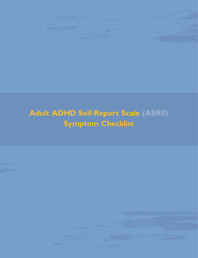

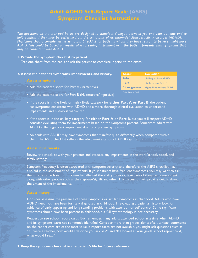# **Adult ADHD Self-Report Scale (ASRS) Symptom Checklist Instructions**

*The questions on the tear pad below are designed to stimulate dialogue between you and your patients and to help confirm if they may be suffering from the symptoms of attention-deficit/hyperactivity disorder (ADHD). Physicians should consider using Symptom Checklist for patients whom they have reason to believe might have ADHD.This could be based on results of a screening instrument or if the patient presents with symptoms that may be consistent with ADHD.*

## **1. Provide the symptom checklist to patient.**

Tear one sheet from the pad, and ask the patient to complete it prior to the exam.

## **2. Assess the patient's symptoms, impairments, and history.**

## **Assess symptoms**

- Add the patient's score for Part A (Inattentive)
- Add the patient's score for Part B (Hyperactive/Impulsive)
- **Score\* 0-16 17-23 24 or greater Evaluation** Unlikely to have ADHD Likely to have ADHD Highly likely to have ADHD

\*either Part A or Part B

- If the score is in the likely or highly likely category for **either Part A or Part B**, the patient has symptoms consistent with ADHD and a more thorough clinical evaluation to understand impairments and history is warranted.
- If the score is in the unlikely category for **either Part A or Part B**, but you still suspect ADHD, consider evaluating them for impairments based on the symptoms present. Sometimes adults with ADHD suffer significant impairment due to only a few symptoms.
- An adult with ADHD may have symptoms that manifest quite differently when compared with a child. The ASRS checklist reflects the adult manifestation of ADHD symptoms.

Review the checklist with your patients and evaluate any impairments in the work/school, social, and family settings.

Symptom frequency is often associated with symptom severity, and, therefore, the ASRS checklist may also aid in the assessment of impairments. If your patients have frequent symptoms, you may want to ask them to describe how this problem has affected the ability to work, take care of things at home, or get along with other people such as their spouse/significant other. This discussion will provide details about the extent of the impairments.

Consider assessing the presence of these symptoms or similar symptoms in childhood. Adults who have ADHD need not have been formally diagnosed in childhood. In evaluating a patient's history, look for evidence of early-appearing and long-standing problems with attention or self-control. Some significant symptoms should have been present in childhood, but full symptomology is not necessary.

Request to see school report cards. But remember, many adults attended school at a time when ADHD and its symptoms were not commonly identified. Consider more than grades alone; often, written comments on the report card are of the most value. If report cards are not available, you might ask questions such as, "If I were a teacher, how would I describe you in class?" and "If I looked at your grade school report card, what would I read?"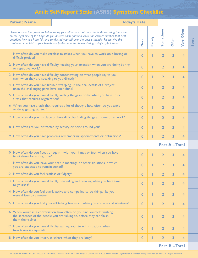# **Adult Self-Report Scale (ASRS) Symptom Checklist**

| <b>Patient Name</b>                                                                                                                                                                                                                                                                                                                                                                              |  | <b>Today's Date</b> |                  |                         |                         |                         |                         |       |
|--------------------------------------------------------------------------------------------------------------------------------------------------------------------------------------------------------------------------------------------------------------------------------------------------------------------------------------------------------------------------------------------------|--|---------------------|------------------|-------------------------|-------------------------|-------------------------|-------------------------|-------|
| Please answer the questions below, rating yourself on each of the criteria shown using the scale<br>on the right side of the page. As you answer each question, circle the correct number that best<br>describes how you have felt and conducted yourself over the past 6 months. Please give this<br>completed checklist to your healthcare professional to discuss during today's appointment. |  |                     | Never            | Rarely                  | Sometimes               | <b>Often</b>            | <b>Often</b><br>Very    | Score |
| 1. How often do you make careless mistakes when you have to work on a boring or<br>difficult project?                                                                                                                                                                                                                                                                                            |  |                     | $\bf{0}$         |                         | $\overline{2}$          | 3                       | 4                       |       |
| 2. How often do you have difficulty keeping your attention when you are doing boring<br>or repetitive work?                                                                                                                                                                                                                                                                                      |  |                     | $\bf{0}$         | ı                       | $\overline{2}$          | 3                       | 4                       |       |
| 3. How often do you have difficulty concentrating on what people say to you,<br>even when they are speaking to you directly?                                                                                                                                                                                                                                                                     |  |                     | $\bf{0}$         | Π                       | $\overline{2}$          | 3                       | 4                       |       |
| 4. How often do you have trouble wrapping up the final details of a project,<br>once the challenging parts have been done?                                                                                                                                                                                                                                                                       |  |                     | $\bf{0}$         | ı                       | $\overline{2}$          | 3                       | 4                       |       |
| 5. How often do you have difficulty getting things in order when you have to do<br>a task that requires organization?                                                                                                                                                                                                                                                                            |  |                     | $\bf{0}$         | ı                       | $\overline{2}$          | 3                       | 4                       |       |
| 6. When you have a task that requires a lot of thought, how often do you avoid<br>or delay getting started?                                                                                                                                                                                                                                                                                      |  |                     | $\boldsymbol{0}$ | ı                       | $\overline{2}$          | 3                       | 4                       |       |
| 7. How often do you misplace or have difficulty finding things at home or at work?                                                                                                                                                                                                                                                                                                               |  |                     | $\bf{0}$         | ı                       | $\overline{2}$          | 3                       | 4                       |       |
| 8. How often are you distracted by activity or noise around you?                                                                                                                                                                                                                                                                                                                                 |  |                     | $\boldsymbol{0}$ | I                       | $\overline{2}$          | 3                       | 4                       |       |
| 9. How often do you have problems remembering appointments or obligations?                                                                                                                                                                                                                                                                                                                       |  | $\bf{0}$            |                  | $\overline{2}$          | 3                       | 4                       |                         |       |
|                                                                                                                                                                                                                                                                                                                                                                                                  |  |                     |                  |                         | <b>Part A-Total</b>     |                         |                         |       |
| 10. How often do you fidget or squirm with your hands or feet when you have<br>to sit down for a long time?                                                                                                                                                                                                                                                                                      |  |                     | $\bf{0}$         | I                       | $\overline{2}$          | 3                       | 4                       |       |
| 11. How often do you leave your seat in meetings or other situations in which<br>you are expected to remain seated?                                                                                                                                                                                                                                                                              |  |                     | $\mathbf{0}$     |                         | 2 <sup>1</sup>          |                         | 4                       |       |
| 12. How often do you feel restless or fidgety?                                                                                                                                                                                                                                                                                                                                                   |  |                     | $\bf{0}$         | I                       | $\overline{2}$          | $\overline{\mathbf{3}}$ | $\overline{\mathbf{4}}$ |       |
| 13. How often do you have difficulty unwinding and relaxing when you have time<br>to yourself?                                                                                                                                                                                                                                                                                                   |  | $\bf{0}$            | ı                | $\overline{\mathbf{2}}$ | 3                       | 4                       |                         |       |
| 14. How often do you feel overly active and compelled to do things, like you<br>were driven by a motor?                                                                                                                                                                                                                                                                                          |  |                     | $\boldsymbol{0}$ | ı                       | $\overline{2}$          | 3                       | 4                       |       |
| 15. How often do you find yourself talking too much when you are in social situations?                                                                                                                                                                                                                                                                                                           |  |                     | $\bf{0}$         | ı                       | $\overline{\mathbf{2}}$ | 3                       | 4                       |       |
| 16. When you're in a conversation, how often do you find yourself finishing<br>the sentences of the people you are talking to, before they can finish<br>them themselves?                                                                                                                                                                                                                        |  | $\boldsymbol{0}$    |                  | $\overline{2}$          | 3                       | 4                       |                         |       |
| 17. How often do you have difficulty waiting your turn in situations when<br>turn taking is required?                                                                                                                                                                                                                                                                                            |  | $\bf{0}$            | ı                | $\overline{2}$          | 3                       | 4                       |                         |       |
| 18. How often do you interrupt others when they are busy?                                                                                                                                                                                                                                                                                                                                        |  |                     | $\bf{0}$         |                         | $\overline{\mathbf{2}}$ | 3                       | 4                       |       |
| <b>Part B-Total</b>                                                                                                                                                                                                                                                                                                                                                                              |  |                     |                  |                         |                         |                         |                         |       |